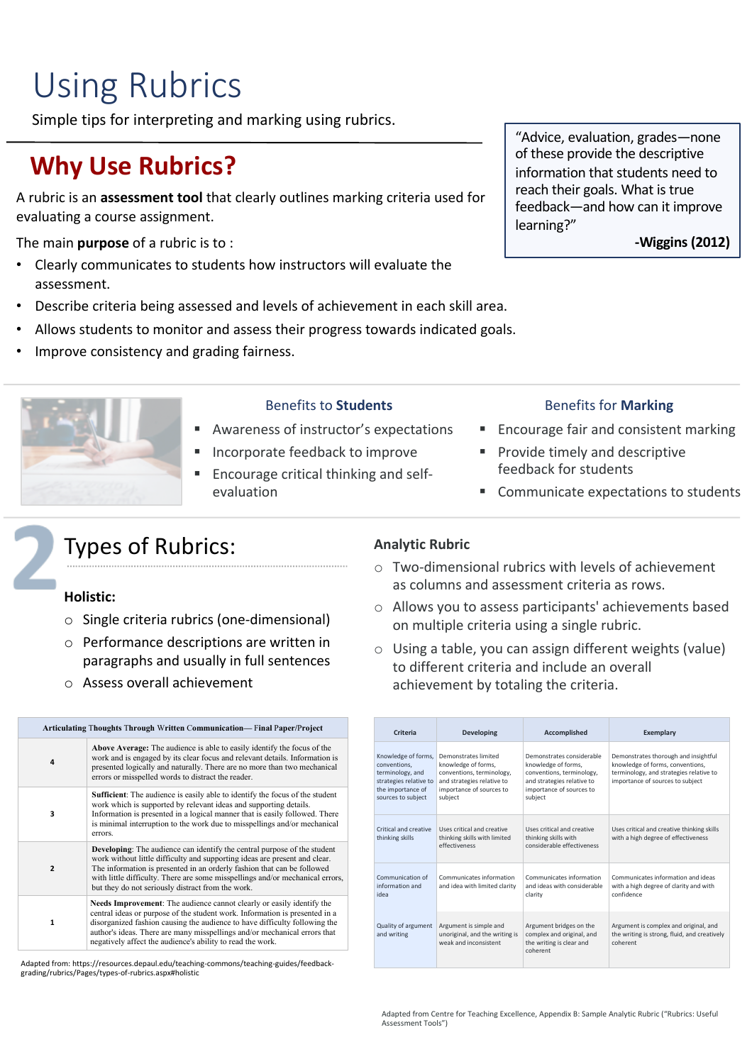# Using Rubrics

Simple tips for interpreting and marking using rubrics.

# **Why Use Rubrics?**

A rubric is an **assessment tool** that clearly outlines marking criteria used for evaluating a course assignment.

The main **purpose** of a rubric is to :

- Clearly communicates to students how instructors will evaluate the assessment.
- Describe criteria being assessed and levels of achievement in each skill area.
- Allows students to monitor and assess their progress towards indicated goals.
- Improve consistency and grading fairness.



#### Benefits to **Students**

- § Awareness of instructor's expectations
- § Incorporate feedback to improve
- § Encourage critical thinking and selfevaluation

#### "Advice, evaluation, grades—none of these provide the descriptive information that students need to reach their goals. What is true feedback—and how can it improve learning?"

**-Wiggins (2012)**

#### Benefits for **Marking**

- § Encourage fair and consistent marking
- § Provide timely and descriptive feedback for students
- § Communicate expectations to students

### Types of Rubrics:

#### **Holistic:**

- o Single criteria rubrics (one-dimensional)
- o Performance descriptions are written in paragraphs and usually in full sentences
- o Assess overall achievement

| <b>Articulating Thoughts Through Written Communication— Final Paper/Project</b> |                                                                                                                                                                                                                                                                                                                                                                                |  |
|---------------------------------------------------------------------------------|--------------------------------------------------------------------------------------------------------------------------------------------------------------------------------------------------------------------------------------------------------------------------------------------------------------------------------------------------------------------------------|--|
| 4                                                                               | Above Average: The audience is able to easily identify the focus of the<br>work and is engaged by its clear focus and relevant details. Information is<br>presented logically and naturally. There are no more than two mechanical<br>errors or misspelled words to distract the reader.                                                                                       |  |
| 3                                                                               | <b>Sufficient:</b> The audience is easily able to identify the focus of the student<br>work which is supported by relevant ideas and supporting details.<br>Information is presented in a logical manner that is easily followed. There<br>is minimal interruption to the work due to misspellings and/or mechanical<br>errors.                                                |  |
| $\overline{2}$                                                                  | <b>Developing:</b> The audience can identify the central purpose of the student<br>work without little difficulty and supporting ideas are present and clear.<br>The information is presented in an orderly fashion that can be followed<br>with little difficulty. There are some misspellings and/or mechanical errors,<br>but they do not seriously distract from the work. |  |
| 1                                                                               | Needs Improvement: The audience cannot clearly or easily identify the<br>central ideas or purpose of the student work. Information is presented in a<br>disorganized fashion causing the audience to have difficulty following the<br>author's ideas. There are many misspellings and/or mechanical errors that<br>negatively affect the audience's ability to read the work.  |  |

Adapted from: https://resources.depaul.edu/teaching-commons/teaching-guides/feedbackgrading/rubrics/Pages/types-of-rubrics.aspx#holistic

#### **Analytic Rubric**

- o Two-dimensional rubrics with levels of achievement as columns and assessment criteria as rows.
- o Allows you to assess participants' achievements based on multiple criteria using a single rubric.
- o Using a table, you can assign different weights (value) to different criteria and include an overall achievement by totaling the criteria.

| Criteria                                                                                                                     | Developing                                                                                                                                    | Accomplished                                                                                                                                       | Exemplary                                                                                                                                               |
|------------------------------------------------------------------------------------------------------------------------------|-----------------------------------------------------------------------------------------------------------------------------------------------|----------------------------------------------------------------------------------------------------------------------------------------------------|---------------------------------------------------------------------------------------------------------------------------------------------------------|
| Knowledge of forms,<br>conventions.<br>terminology, and<br>strategies relative to<br>the importance of<br>sources to subject | Demonstrates limited<br>knowledge of forms,<br>conventions, terminology,<br>and strategies relative to<br>importance of sources to<br>subiect | Demonstrates considerable<br>knowledge of forms,<br>conventions, terminology,<br>and strategies relative to<br>importance of sources to<br>subject | Demonstrates thorough and insightful<br>knowledge of forms, conventions,<br>terminology, and strategies relative to<br>importance of sources to subject |
| Critical and creative<br>thinking skills                                                                                     | Uses critical and creative<br>thinking skills with limited<br>effectiveness                                                                   | Uses critical and creative<br>thinking skills with<br>considerable effectiveness                                                                   | Uses critical and creative thinking skills<br>with a high degree of effectiveness                                                                       |
| Communication of<br>information and<br>idea                                                                                  | Communicates information<br>and idea with limited clarity                                                                                     | Communicates information<br>and ideas with considerable<br>clarity                                                                                 | Communicates information and ideas<br>with a high degree of clarity and with<br>confidence                                                              |
| Quality of argument<br>and writing                                                                                           | Argument is simple and<br>unoriginal, and the writing is<br>weak and inconsistent                                                             | Argument bridges on the<br>complex and original, and<br>the writing is clear and<br>coherent                                                       | Argument is complex and original, and<br>the writing is strong, fluid, and creatively<br>coherent                                                       |